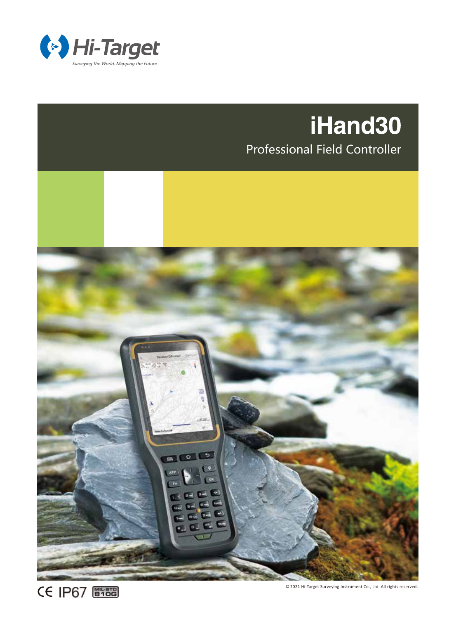

## iHand30

Professional Field Controller



**CE IP67 簡描** 

© 2021 Hi-Target Surveying Instrument Co., Ltd. All rights reserved.